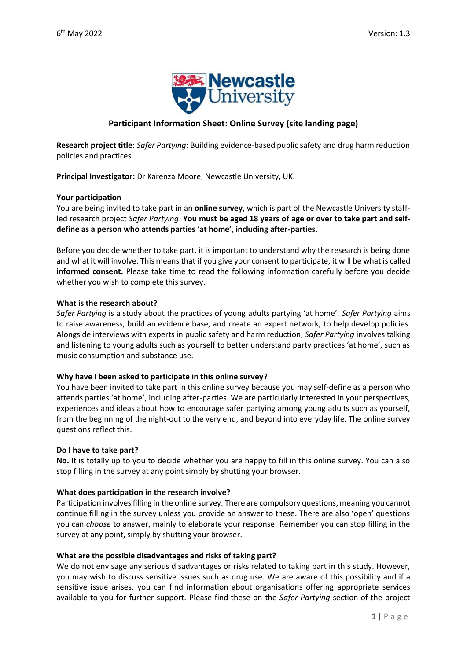

# **Participant Information Sheet: Online Survey (site landing page)**

**Research project title:** *Safer Partying*: Building evidence-based public safety and drug harm reduction policies and practices

**Principal Investigator:** Dr Karenza Moore, Newcastle University, UK.

#### **Your participation**

You are being invited to take part in an **online survey**, which is part of the Newcastle University staffled research project *Safer Partying*. **You must be aged 18 years of age or over to take part and selfdefine as a person who attends parties 'at home', including after-parties.** 

Before you decide whether to take part, it is important to understand why the research is being done and what it will involve. This means that if you give your consent to participate, it will be what is called **informed consent.** Please take time to read the following information carefully before you decide whether you wish to complete this survey.

#### **What is the research about?**

*Safer Partying* is a study about the practices of young adults partying 'at home'. *Safer Partying* aims to raise awareness, build an evidence base, and create an expert network, to help develop policies. Alongside interviews with experts in public safety and harm reduction, *Safer Partying* involves talking and listening to young adults such as yourself to better understand party practices 'at home', such as music consumption and substance use.

### **Why have I been asked to participate in this online survey?**

You have been invited to take part in this online survey because you may self-define as a person who attends parties 'at home', including after-parties. We are particularly interested in your perspectives, experiences and ideas about how to encourage safer partying among young adults such as yourself, from the beginning of the night-out to the very end, and beyond into everyday life. The online survey questions reflect this.

### **Do I have to take part?**

**No.** It is totally up to you to decide whether you are happy to fill in this online survey. You can also stop filling in the survey at any point simply by shutting your browser.

### **What does participation in the research involve?**

Participation involves filling in the online survey. There are compulsory questions, meaning you cannot continue filling in the survey unless you provide an answer to these. There are also 'open' questions you can *choose* to answer, mainly to elaborate your response. Remember you can stop filling in the survey at any point, simply by shutting your browser.

### **What are the possible disadvantages and risks of taking part?**

We do not envisage any serious disadvantages or risks related to taking part in this study. However, you may wish to discuss sensitive issues such as drug use. We are aware of this possibility and if a sensitive issue arises, you can find information about organisations offering appropriate services available to you for further support. Please find these on the *Safer Partying* section of the project